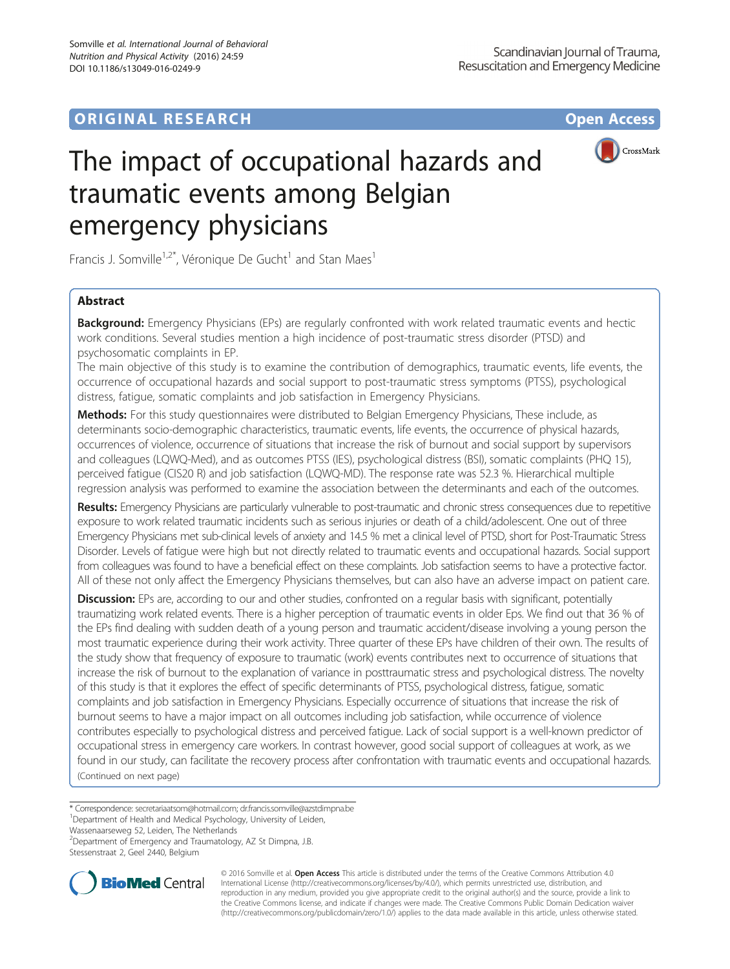## **ORIGINAL RESEARCH CONSUMING ACCESS**



# The impact of occupational hazards and traumatic events among Belgian emergency physicians

Francis J. Somville<sup>1,2\*</sup>, Véronique De Gucht<sup>1</sup> and Stan Maes<sup>1</sup>

## Abstract

**Background:** Emergency Physicians (EPs) are regularly confronted with work related traumatic events and hectic work conditions. Several studies mention a high incidence of post-traumatic stress disorder (PTSD) and psychosomatic complaints in EP.

The main objective of this study is to examine the contribution of demographics, traumatic events, life events, the occurrence of occupational hazards and social support to post-traumatic stress symptoms (PTSS), psychological distress, fatigue, somatic complaints and job satisfaction in Emergency Physicians.

Methods: For this study questionnaires were distributed to Belgian Emergency Physicians, These include, as determinants socio-demographic characteristics, traumatic events, life events, the occurrence of physical hazards, occurrences of violence, occurrence of situations that increase the risk of burnout and social support by supervisors and colleagues (LQWQ-Med), and as outcomes PTSS (IES), psychological distress (BSI), somatic complaints (PHQ 15), perceived fatigue (CIS20 R) and job satisfaction (LQWQ-MD). The response rate was 52.3 %. Hierarchical multiple regression analysis was performed to examine the association between the determinants and each of the outcomes.

Results: Emergency Physicians are particularly vulnerable to post-traumatic and chronic stress consequences due to repetitive exposure to work related traumatic incidents such as serious injuries or death of a child/adolescent. One out of three Emergency Physicians met sub-clinical levels of anxiety and 14.5 % met a clinical level of PTSD, short for Post-Traumatic Stress Disorder. Levels of fatigue were high but not directly related to traumatic events and occupational hazards. Social support from colleagues was found to have a beneficial effect on these complaints. Job satisfaction seems to have a protective factor. All of these not only affect the Emergency Physicians themselves, but can also have an adverse impact on patient care.

Discussion: EPs are, according to our and other studies, confronted on a regular basis with significant, potentially traumatizing work related events. There is a higher perception of traumatic events in older Eps. We find out that 36 % of the EPs find dealing with sudden death of a young person and traumatic accident/disease involving a young person the most traumatic experience during their work activity. Three quarter of these EPs have children of their own. The results of the study show that frequency of exposure to traumatic (work) events contributes next to occurrence of situations that increase the risk of burnout to the explanation of variance in posttraumatic stress and psychological distress. The novelty of this study is that it explores the effect of specific determinants of PTSS, psychological distress, fatigue, somatic complaints and job satisfaction in Emergency Physicians. Especially occurrence of situations that increase the risk of burnout seems to have a major impact on all outcomes including job satisfaction, while occurrence of violence contributes especially to psychological distress and perceived fatigue. Lack of social support is a well-known predictor of occupational stress in emergency care workers. In contrast however, good social support of colleagues at work, as we found in our study, can facilitate the recovery process after confrontation with traumatic events and occupational hazards. (Continued on next page)

\* Correspondence: [secretariaatsom@hotmail.com;](mailto:secretariaatsom@hotmail.com) [dr.francis.somville@azstdimpna.be](mailto:dr.francis.somville@azstdimpna.be) <sup>1</sup>

<sup>1</sup>Department of Health and Medical Psychology, University of Leiden,

<sup>2</sup> Department of Emergency and Traumatology, AZ St Dimpna, J.B.

Stessenstraat 2, Geel 2440, Belgium



© 2016 Somville et al. **Open Access** This article is distributed under the terms of the Creative Commons Attribution 4.0 International License [\(http://creativecommons.org/licenses/by/4.0/](http://creativecommons.org/licenses/by/4.0/)), which permits unrestricted use, distribution, and reproduction in any medium, provided you give appropriate credit to the original author(s) and the source, provide a link to the Creative Commons license, and indicate if changes were made. The Creative Commons Public Domain Dedication waiver [\(http://creativecommons.org/publicdomain/zero/1.0/](http://creativecommons.org/publicdomain/zero/1.0/)) applies to the data made available in this article, unless otherwise stated.

Wassenaarseweg 52, Leiden, The Netherlands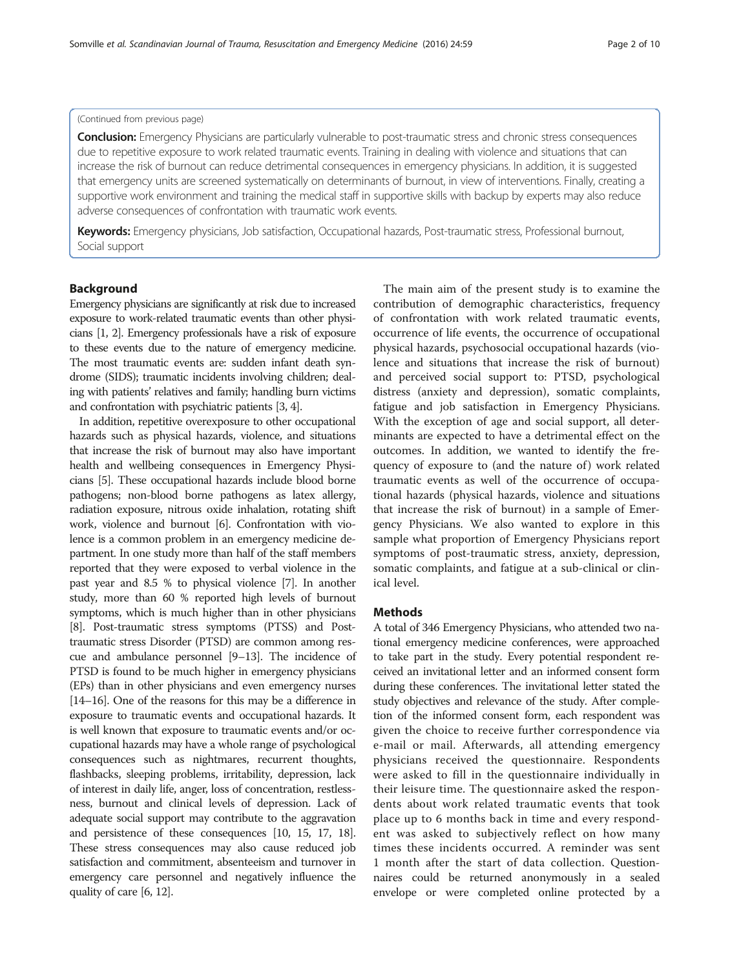## (Continued from previous page)

Conclusion: Emergency Physicians are particularly vulnerable to post-traumatic stress and chronic stress consequences due to repetitive exposure to work related traumatic events. Training in dealing with violence and situations that can increase the risk of burnout can reduce detrimental consequences in emergency physicians. In addition, it is suggested that emergency units are screened systematically on determinants of burnout, in view of interventions. Finally, creating a supportive work environment and training the medical staff in supportive skills with backup by experts may also reduce adverse consequences of confrontation with traumatic work events.

Keywords: Emergency physicians, Job satisfaction, Occupational hazards, Post-traumatic stress, Professional burnout, Social support

### Background

Emergency physicians are significantly at risk due to increased exposure to work-related traumatic events than other physicians [\[1](#page-8-0), [2\]](#page-8-0). Emergency professionals have a risk of exposure to these events due to the nature of emergency medicine. The most traumatic events are: sudden infant death syndrome (SIDS); traumatic incidents involving children; dealing with patients' relatives and family; handling burn victims and confrontation with psychiatric patients [\[3, 4\]](#page-8-0).

In addition, repetitive overexposure to other occupational hazards such as physical hazards, violence, and situations that increase the risk of burnout may also have important health and wellbeing consequences in Emergency Physicians [\[5\]](#page-8-0). These occupational hazards include blood borne pathogens; non-blood borne pathogens as latex allergy, radiation exposure, nitrous oxide inhalation, rotating shift work, violence and burnout [[6\]](#page-8-0). Confrontation with violence is a common problem in an emergency medicine department. In one study more than half of the staff members reported that they were exposed to verbal violence in the past year and 8.5 % to physical violence [[7](#page-8-0)]. In another study, more than 60 % reported high levels of burnout symptoms, which is much higher than in other physicians [[8](#page-9-0)]. Post-traumatic stress symptoms (PTSS) and Posttraumatic stress Disorder (PTSD) are common among rescue and ambulance personnel [\[9](#page-9-0)–[13](#page-9-0)]. The incidence of PTSD is found to be much higher in emergency physicians (EPs) than in other physicians and even emergency nurses [[14](#page-9-0)–[16](#page-9-0)]. One of the reasons for this may be a difference in exposure to traumatic events and occupational hazards. It is well known that exposure to traumatic events and/or occupational hazards may have a whole range of psychological consequences such as nightmares, recurrent thoughts, flashbacks, sleeping problems, irritability, depression, lack of interest in daily life, anger, loss of concentration, restlessness, burnout and clinical levels of depression. Lack of adequate social support may contribute to the aggravation and persistence of these consequences [[10](#page-9-0), [15, 17, 18](#page-9-0)]. These stress consequences may also cause reduced job satisfaction and commitment, absenteeism and turnover in emergency care personnel and negatively influence the quality of care [[6](#page-8-0), [12](#page-9-0)].

The main aim of the present study is to examine the contribution of demographic characteristics, frequency of confrontation with work related traumatic events, occurrence of life events, the occurrence of occupational physical hazards, psychosocial occupational hazards (violence and situations that increase the risk of burnout) and perceived social support to: PTSD, psychological distress (anxiety and depression), somatic complaints, fatigue and job satisfaction in Emergency Physicians. With the exception of age and social support, all determinants are expected to have a detrimental effect on the outcomes. In addition, we wanted to identify the frequency of exposure to (and the nature of) work related traumatic events as well of the occurrence of occupational hazards (physical hazards, violence and situations that increase the risk of burnout) in a sample of Emergency Physicians. We also wanted to explore in this sample what proportion of Emergency Physicians report symptoms of post-traumatic stress, anxiety, depression, somatic complaints, and fatigue at a sub-clinical or clinical level.

### **Methods**

A total of 346 Emergency Physicians, who attended two national emergency medicine conferences, were approached to take part in the study. Every potential respondent received an invitational letter and an informed consent form during these conferences. The invitational letter stated the study objectives and relevance of the study. After completion of the informed consent form, each respondent was given the choice to receive further correspondence via e-mail or mail. Afterwards, all attending emergency physicians received the questionnaire. Respondents were asked to fill in the questionnaire individually in their leisure time. The questionnaire asked the respondents about work related traumatic events that took place up to 6 months back in time and every respondent was asked to subjectively reflect on how many times these incidents occurred. A reminder was sent 1 month after the start of data collection. Questionnaires could be returned anonymously in a sealed envelope or were completed online protected by a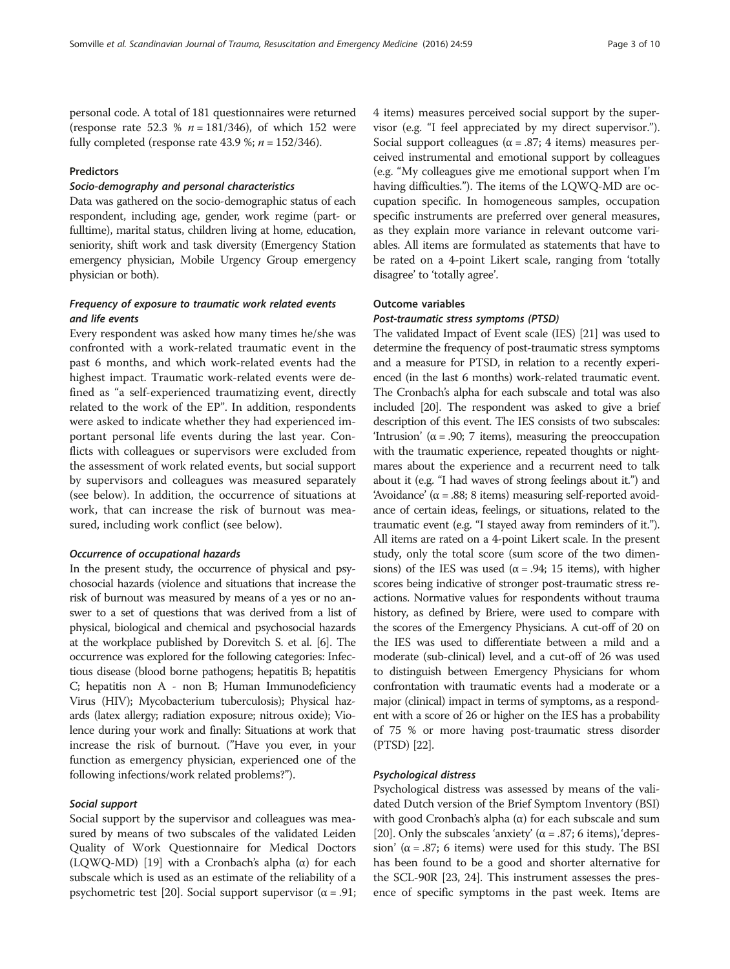personal code. A total of 181 questionnaires were returned (response rate 52.3 %  $n = 181/346$ ), of which 152 were fully completed (response rate 43.9 %;  $n = 152/346$ ).

## Predictors

## Socio-demography and personal characteristics

Data was gathered on the socio-demographic status of each respondent, including age, gender, work regime (part- or fulltime), marital status, children living at home, education, seniority, shift work and task diversity (Emergency Station emergency physician, Mobile Urgency Group emergency physician or both).

## Frequency of exposure to traumatic work related events and life events

Every respondent was asked how many times he/she was confronted with a work-related traumatic event in the past 6 months, and which work-related events had the highest impact. Traumatic work-related events were defined as "a self-experienced traumatizing event, directly related to the work of the EP". In addition, respondents were asked to indicate whether they had experienced important personal life events during the last year. Conflicts with colleagues or supervisors were excluded from the assessment of work related events, but social support by supervisors and colleagues was measured separately (see below). In addition, the occurrence of situations at work, that can increase the risk of burnout was measured, including work conflict (see below).

#### Occurrence of occupational hazards

In the present study, the occurrence of physical and psychosocial hazards (violence and situations that increase the risk of burnout was measured by means of a yes or no answer to a set of questions that was derived from a list of physical, biological and chemical and psychosocial hazards at the workplace published by Dorevitch S. et al. [\[6\]](#page-8-0). The occurrence was explored for the following categories: Infectious disease (blood borne pathogens; hepatitis B; hepatitis C; hepatitis non A - non B; Human Immunodeficiency Virus (HIV); Mycobacterium tuberculosis); Physical hazards (latex allergy; radiation exposure; nitrous oxide); Violence during your work and finally: Situations at work that increase the risk of burnout. ("Have you ever, in your function as emergency physician, experienced one of the following infections/work related problems?").

## Social support

Social support by the supervisor and colleagues was measured by means of two subscales of the validated Leiden Quality of Work Questionnaire for Medical Doctors (LQWQ-MD) [\[19\]](#page-9-0) with a Cronbach's alpha (α) for each subscale which is used as an estimate of the reliability of a psychometric test [\[20](#page-9-0)]. Social support supervisor ( $\alpha$  = .91;

4 items) measures perceived social support by the supervisor (e.g. "I feel appreciated by my direct supervisor."). Social support colleagues ( $\alpha$  = .87; 4 items) measures perceived instrumental and emotional support by colleagues (e.g. "My colleagues give me emotional support when I'm having difficulties."). The items of the LQWQ-MD are occupation specific. In homogeneous samples, occupation specific instruments are preferred over general measures, as they explain more variance in relevant outcome variables. All items are formulated as statements that have to be rated on a 4-point Likert scale, ranging from 'totally disagree' to 'totally agree'.

## Outcome variables

### Post-traumatic stress symptoms (PTSD)

The validated Impact of Event scale (IES) [\[21](#page-9-0)] was used to determine the frequency of post-traumatic stress symptoms and a measure for PTSD, in relation to a recently experienced (in the last 6 months) work-related traumatic event. The Cronbach's alpha for each subscale and total was also included [\[20](#page-9-0)]. The respondent was asked to give a brief description of this event. The IES consists of two subscales: 'Intrusion' ( $\alpha$  = .90; 7 items), measuring the preoccupation with the traumatic experience, repeated thoughts or nightmares about the experience and a recurrent need to talk about it (e.g. "I had waves of strong feelings about it.") and 'Avoidance' ( $\alpha$  = .88; 8 items) measuring self-reported avoidance of certain ideas, feelings, or situations, related to the traumatic event (e.g. "I stayed away from reminders of it."). All items are rated on a 4-point Likert scale. In the present study, only the total score (sum score of the two dimensions) of the IES was used ( $\alpha$  = .94; 15 items), with higher scores being indicative of stronger post-traumatic stress reactions. Normative values for respondents without trauma history, as defined by Briere, were used to compare with the scores of the Emergency Physicians. A cut-off of 20 on the IES was used to differentiate between a mild and a moderate (sub-clinical) level, and a cut-off of 26 was used to distinguish between Emergency Physicians for whom confrontation with traumatic events had a moderate or a major (clinical) impact in terms of symptoms, as a respondent with a score of 26 or higher on the IES has a probability of 75 % or more having post-traumatic stress disorder (PTSD) [\[22](#page-9-0)].

## Psychological distress

Psychological distress was assessed by means of the validated Dutch version of the Brief Symptom Inventory (BSI) with good Cronbach's alpha  $(\alpha)$  for each subscale and sum [[20](#page-9-0)]. Only the subscales 'anxiety' ( $\alpha$  = .87; 6 items), 'depression' ( $\alpha$  = .87; 6 items) were used for this study. The BSI has been found to be a good and shorter alternative for the SCL-90R [[23](#page-9-0), [24\]](#page-9-0). This instrument assesses the presence of specific symptoms in the past week. Items are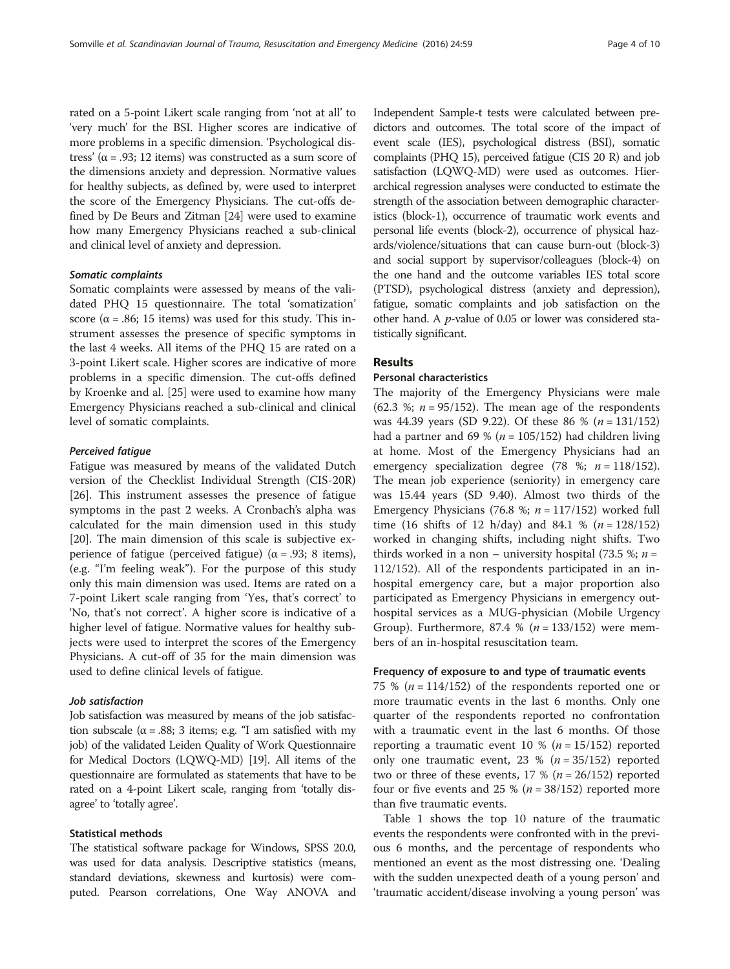rated on a 5-point Likert scale ranging from 'not at all' to 'very much' for the BSI. Higher scores are indicative of more problems in a specific dimension. 'Psychological distress' ( $\alpha$  = .93; 12 items) was constructed as a sum score of the dimensions anxiety and depression. Normative values for healthy subjects, as defined by, were used to interpret the score of the Emergency Physicians. The cut-offs defined by De Beurs and Zitman [\[24\]](#page-9-0) were used to examine how many Emergency Physicians reached a sub-clinical and clinical level of anxiety and depression.

## Somatic complaints

Somatic complaints were assessed by means of the validated PHQ 15 questionnaire. The total 'somatization' score ( $\alpha$  = .86; 15 items) was used for this study. This instrument assesses the presence of specific symptoms in the last 4 weeks. All items of the PHQ 15 are rated on a 3-point Likert scale. Higher scores are indicative of more problems in a specific dimension. The cut-offs defined by Kroenke and al. [[25\]](#page-9-0) were used to examine how many Emergency Physicians reached a sub-clinical and clinical level of somatic complaints.

#### Perceived fatigue

Fatigue was measured by means of the validated Dutch version of the Checklist Individual Strength (CIS-20R) [[26\]](#page-9-0). This instrument assesses the presence of fatigue symptoms in the past 2 weeks. A Cronbach's alpha was calculated for the main dimension used in this study [[20\]](#page-9-0). The main dimension of this scale is subjective experience of fatigue (perceived fatigue) ( $α = .93$ ; 8 items), (e.g. "I'm feeling weak"). For the purpose of this study only this main dimension was used. Items are rated on a 7-point Likert scale ranging from 'Yes, that's correct' to 'No, that's not correct'. A higher score is indicative of a higher level of fatigue. Normative values for healthy subjects were used to interpret the scores of the Emergency Physicians. A cut-off of 35 for the main dimension was used to define clinical levels of fatigue.

## Job satisfaction

Job satisfaction was measured by means of the job satisfaction subscale ( $\alpha$  = .88; 3 items; e.g. "I am satisfied with my job) of the validated Leiden Quality of Work Questionnaire for Medical Doctors (LQWQ-MD) [\[19](#page-9-0)]. All items of the questionnaire are formulated as statements that have to be rated on a 4-point Likert scale, ranging from 'totally disagree' to 'totally agree'.

## Statistical methods

The statistical software package for Windows, SPSS 20.0, was used for data analysis. Descriptive statistics (means, standard deviations, skewness and kurtosis) were computed. Pearson correlations, One Way ANOVA and Independent Sample-t tests were calculated between predictors and outcomes. The total score of the impact of event scale (IES), psychological distress (BSI), somatic complaints (PHQ 15), perceived fatigue (CIS 20 R) and job satisfaction (LQWQ-MD) were used as outcomes. Hierarchical regression analyses were conducted to estimate the strength of the association between demographic characteristics (block-1), occurrence of traumatic work events and personal life events (block-2), occurrence of physical hazards/violence/situations that can cause burn-out (block-3) and social support by supervisor/colleagues (block-4) on the one hand and the outcome variables IES total score (PTSD), psychological distress (anxiety and depression), fatigue, somatic complaints and job satisfaction on the other hand. A  $p$ -value of 0.05 or lower was considered statistically significant.

## Results

## Personal characteristics

The majority of the Emergency Physicians were male (62.3 %;  $n = 95/152$ ). The mean age of the respondents was 44.39 years (SD 9.22). Of these 86 % ( $n = 131/152$ ) had a partner and 69 % ( $n = 105/152$ ) had children living at home. Most of the Emergency Physicians had an emergency specialization degree (78 %;  $n = 118/152$ ). The mean job experience (seniority) in emergency care was 15.44 years (SD 9.40). Almost two thirds of the Emergency Physicians (76.8 %;  $n = 117/152$ ) worked full time (16 shifts of 12 h/day) and 84.1 %  $(n = 128/152)$ worked in changing shifts, including night shifts. Two thirds worked in a non – university hospital (73.5 %;  $n =$ 112/152). All of the respondents participated in an inhospital emergency care, but a major proportion also participated as Emergency Physicians in emergency outhospital services as a MUG-physician (Mobile Urgency Group). Furthermore, 87.4 %  $(n = 133/152)$  were members of an in-hospital resuscitation team.

## Frequency of exposure to and type of traumatic events

75 % ( $n = 114/152$ ) of the respondents reported one or more traumatic events in the last 6 months. Only one quarter of the respondents reported no confrontation with a traumatic event in the last 6 months. Of those reporting a traumatic event 10 % ( $n = 15/152$ ) reported only one traumatic event, 23 %  $(n = 35/152)$  reported two or three of these events,  $17 \%$  ( $n = 26/152$ ) reported four or five events and 25 % ( $n = 38/152$ ) reported more than five traumatic events.

Table [1](#page-4-0) shows the top 10 nature of the traumatic events the respondents were confronted with in the previous 6 months, and the percentage of respondents who mentioned an event as the most distressing one. 'Dealing with the sudden unexpected death of a young person' and 'traumatic accident/disease involving a young person' was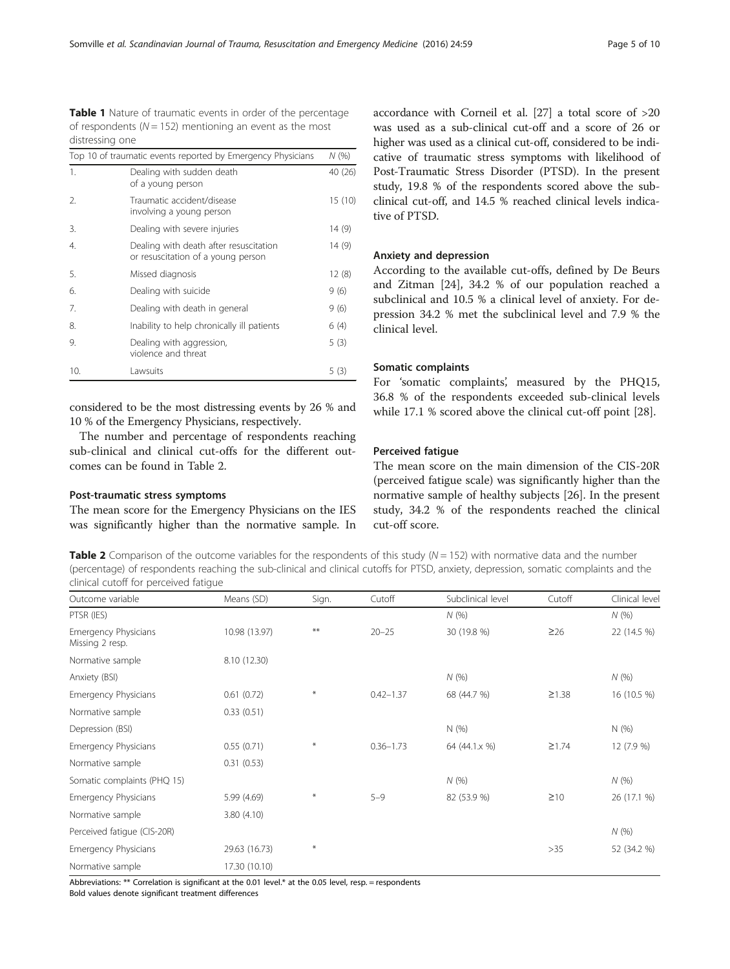<span id="page-4-0"></span>Table 1 Nature of traumatic events in order of the percentage of respondents ( $N = 152$ ) mentioning an event as the most distressing one

|                  | Top 10 of traumatic events reported by Emergency Physicians                  | N (%)   |
|------------------|------------------------------------------------------------------------------|---------|
| 1.               | Dealing with sudden death<br>of a young person                               | 40 (26) |
| 2.               | Traumatic accident/disease<br>involving a young person                       | 15 (10) |
| 3.               | Dealing with severe injuries                                                 | 14(9)   |
| $\overline{4}$ . | Dealing with death after resuscitation<br>or resuscitation of a young person | 14 (9)  |
| 5.               | Missed diagnosis                                                             | 12(8)   |
| 6.               | Dealing with suicide                                                         | 9(6)    |
| 7.               | Dealing with death in general                                                | 9(6)    |
| 8.               | Inability to help chronically ill patients                                   | 6(4)    |
| 9.               | Dealing with aggression,<br>violence and threat                              | 5(3)    |
| 10.              | Lawsuits                                                                     | 5(3)    |

considered to be the most distressing events by 26 % and 10 % of the Emergency Physicians, respectively.

The number and percentage of respondents reaching sub-clinical and clinical cut-offs for the different outcomes can be found in Table 2.

## Post-traumatic stress symptoms

The mean score for the Emergency Physicians on the IES was significantly higher than the normative sample. In

accordance with Corneil et al. [\[27\]](#page-9-0) a total score of >20 was used as a sub-clinical cut-off and a score of 26 or higher was used as a clinical cut-off, considered to be indicative of traumatic stress symptoms with likelihood of Post-Traumatic Stress Disorder (PTSD). In the present study, 19.8 % of the respondents scored above the subclinical cut-off, and 14.5 % reached clinical levels indicative of PTSD.

## Anxiety and depression

According to the available cut-offs, defined by De Beurs and Zitman [[24\]](#page-9-0), 34.2 % of our population reached a subclinical and 10.5 % a clinical level of anxiety. For depression 34.2 % met the subclinical level and 7.9 % the clinical level.

## Somatic complaints

For 'somatic complaints', measured by the PHQ15, 36.8 % of the respondents exceeded sub-clinical levels while 17.1 % scored above the clinical cut-off point [\[28](#page-9-0)].

#### Perceived fatigue

The mean score on the main dimension of the CIS-20R (perceived fatigue scale) was significantly higher than the normative sample of healthy subjects [[26\]](#page-9-0). In the present study, 34.2 % of the respondents reached the clinical cut-off score.

**Table 2** Comparison of the outcome variables for the respondents of this study ( $N = 152$ ) with normative data and the number (percentage) of respondents reaching the sub-clinical and clinical cutoffs for PTSD, anxiety, depression, somatic complaints and the clinical cutoff for perceived fatigue

| Outcome variable                               | Means (SD)    | Sign.  | Cutoff        | Subclinical level | Cutoff      | Clinical level |  |
|------------------------------------------------|---------------|--------|---------------|-------------------|-------------|----------------|--|
| PTSR (IES)                                     |               |        |               | N(%               |             | N(%            |  |
| <b>Emergency Physicians</b><br>Missing 2 resp. | 10.98 (13.97) | $***$  | $20 - 25$     | 30 (19.8 %)       | $\geq$ 26   | 22 (14.5 %)    |  |
| Normative sample                               | 8.10 (12.30)  |        |               |                   |             |                |  |
| Anxiety (BSI)                                  |               |        |               | N(%               |             | N(%            |  |
| <b>Emergency Physicians</b>                    | 0.61(0.72)    | $\ast$ | $0.42 - 1.37$ | 68 (44.7 %)       | $\geq 1.38$ | 16 (10.5 %)    |  |
| Normative sample                               | 0.33(0.51)    |        |               |                   |             |                |  |
| Depression (BSI)                               |               |        |               | N(%)              |             | N(%)           |  |
| <b>Emergency Physicians</b>                    | 0.55(0.71)    | $\ast$ | $0.36 - 1.73$ | 64 (44.1.x %)     | $\geq$ 1.74 | 12 (7.9 %)     |  |
| Normative sample                               | 0.31(0.53)    |        |               |                   |             |                |  |
| Somatic complaints (PHQ 15)                    |               |        |               | N(%               |             | N(%            |  |
| <b>Emergency Physicians</b>                    | 5.99 (4.69)   | $\ast$ | $5 - 9$       | 82 (53.9 %)       | $\geq$ 10   | 26 (17.1 %)    |  |
| Normative sample                               | 3.80(4.10)    |        |               |                   |             |                |  |
| Perceived fatigue (CIS-20R)                    |               |        |               |                   |             | N(%            |  |
| <b>Emergency Physicians</b>                    | 29.63 (16.73) | $\ast$ |               |                   | $>35$       | 52 (34.2 %)    |  |
| Normative sample                               | 17.30 (10.10) |        |               |                   |             |                |  |

Abbreviations: \*\* Correlation is significant at the 0.01 level.\* at the 0.05 level, resp. = respondents

Bold values denote significant treatment differences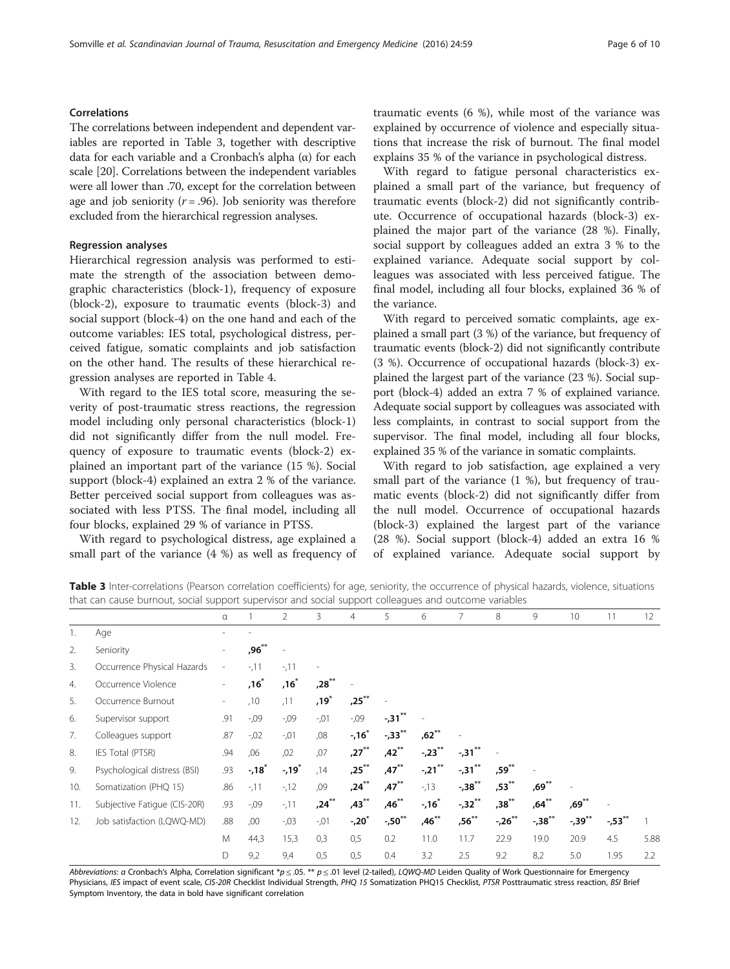## Correlations

The correlations between independent and dependent variables are reported in Table 3, together with descriptive data for each variable and a Cronbach's alpha (α) for each scale [[20](#page-9-0)]. Correlations between the independent variables were all lower than .70, except for the correlation between age and job seniority ( $r = .96$ ). Job seniority was therefore excluded from the hierarchical regression analyses.

## Regression analyses

Hierarchical regression analysis was performed to estimate the strength of the association between demographic characteristics (block-1), frequency of exposure (block-2), exposure to traumatic events (block-3) and social support (block-4) on the one hand and each of the outcome variables: IES total, psychological distress, perceived fatigue, somatic complaints and job satisfaction on the other hand. The results of these hierarchical regression analyses are reported in Table [4](#page-6-0).

With regard to the IES total score, measuring the severity of post-traumatic stress reactions, the regression model including only personal characteristics (block-1) did not significantly differ from the null model. Frequency of exposure to traumatic events (block-2) explained an important part of the variance (15 %). Social support (block-4) explained an extra 2 % of the variance. Better perceived social support from colleagues was associated with less PTSS. The final model, including all four blocks, explained 29 % of variance in PTSS.

With regard to psychological distress, age explained a small part of the variance (4 %) as well as frequency of traumatic events (6 %), while most of the variance was explained by occurrence of violence and especially situations that increase the risk of burnout. The final model explains 35 % of the variance in psychological distress.

With regard to fatigue personal characteristics explained a small part of the variance, but frequency of traumatic events (block-2) did not significantly contribute. Occurrence of occupational hazards (block-3) explained the major part of the variance (28 %). Finally, social support by colleagues added an extra 3 % to the explained variance. Adequate social support by colleagues was associated with less perceived fatigue. The final model, including all four blocks, explained 36 % of the variance.

With regard to perceived somatic complaints, age explained a small part (3 %) of the variance, but frequency of traumatic events (block-2) did not significantly contribute (3 %). Occurrence of occupational hazards (block-3) explained the largest part of the variance (23 %). Social support (block-4) added an extra 7 % of explained variance. Adequate social support by colleagues was associated with less complaints, in contrast to social support from the supervisor. The final model, including all four blocks, explained 35 % of the variance in somatic complaints.

With regard to job satisfaction, age explained a very small part of the variance (1 %), but frequency of traumatic events (block-2) did not significantly differ from the null model. Occurrence of occupational hazards (block-3) explained the largest part of the variance (28 %). Social support (block-4) added an extra 16 % of explained variance. Adequate social support by

Table 3 Inter-correlations (Pearson correlation coefficients) for age, seniority, the occurrence of physical hazards, violence, situations that can cause burnout, social support supervisor and social support colleagues and outcome variables

|     |                              | $\alpha$                 |            | $\mathcal{P}$ | 3                 | 4                   | 5           | 6        | 7          | 8          | 9          | 10         | 11       | 12   |
|-----|------------------------------|--------------------------|------------|---------------|-------------------|---------------------|-------------|----------|------------|------------|------------|------------|----------|------|
| 1.  | Age                          |                          |            |               |                   |                     |             |          |            |            |            |            |          |      |
| 2.  | Seniority                    | $\sim$                   | $.96^{**}$ |               |                   |                     |             |          |            |            |            |            |          |      |
| 3.  | Occurrence Physical Hazards  | $\overline{\phantom{a}}$ | $-11$      | $-11$         | ٠                 |                     |             |          |            |            |            |            |          |      |
| 4.  | Occurrence Violence          | $\overline{\phantom{a}}$ | $,16^*$    | $,16^*$       | ,28 $^{\ast\ast}$ |                     |             |          |            |            |            |            |          |      |
| 5.  | Occurrence Burnout           | $\overline{\phantom{a}}$ | ,10        | ,11           | ,19 $^*$          | $,25$ **            |             |          |            |            |            |            |          |      |
| 6.  | Supervisor support           | .91                      | $-0.09$    | $-0.09$       | $-0.01$           | $-0.09$             | $-.31***$   |          |            |            |            |            |          |      |
| 7.  | Colleagues support           | .87                      | $-0.02$    | $-0.01$       | ,08               | $-16$               | $-0.33***$  | $,62***$ |            |            |            |            |          |      |
| 8.  | IES Total (PTSR)             | .94                      | ,06        | ,02           | ,07               | $,27***$            | $,42***$    | $-23$ ** | $-.31$ **  |            |            |            |          |      |
| 9.  | Psychological distress (BSI) | .93                      | $-18$      | $-19*$        | ,14               | $,25***$            | $,47***$    | $-21$ ** | $-1.31$    | ,59**      |            |            |          |      |
| 10. | Somatization (PHQ 15)        | .86                      | $-11$      | $-12$         | .09               | $,24***$            | $,47***$    | $-13$    | $-0.38$ ** | $,53***$   | ,69**      |            |          |      |
| 11. | Subjective Fatigue (CIS-20R) | .93                      | $-0.09$    | $-11$         | $,24***$          | $,43$ <sup>**</sup> | $,46^{**}$  | $-16$    | $-1.32$    | $,38^{**}$ | $,64$ **   | ,69**      |          |      |
| 12. | Job satisfaction (LQWQ-MD)   | .88                      | ,00        | $-0.03$       | $-0.01$           | $-.20^*$            | $-.50^{**}$ | ,46**    | ,56**      | $-26***$   | $-0.38$ ** | $-0.39$ ** | $-53***$ |      |
|     |                              | M                        | 44,3       | 15,3          | 0,3               | 0,5                 | 0.2         | 11.0     | 11.7       | 22.9       | 19.0       | 20.9       | 4.5      | 5.88 |
|     |                              | $\mathsf{D}$             | 9,2        | 9,4           | 0,5               | 0,5                 | 0.4         | 3.2      | 2.5        | 9.2        | 8,2        | 5.0        | 1.95     | 2.2  |

Abbreviations: a Cronbach's Alpha, Correlation significant \*p  $\leq$  .05. \*\* p  $\leq$  .01 level (2-tailed), LQWQ-MD Leiden Quality of Work Questionnaire for Emergency Physicians, IES impact of event scale, CIS-20R Checklist Individual Strength, PHQ 15 Somatization PHQ15 Checklist, PTSR Posttraumatic stress reaction, BSI Brief Symptom Inventory, the data in bold have significant correlation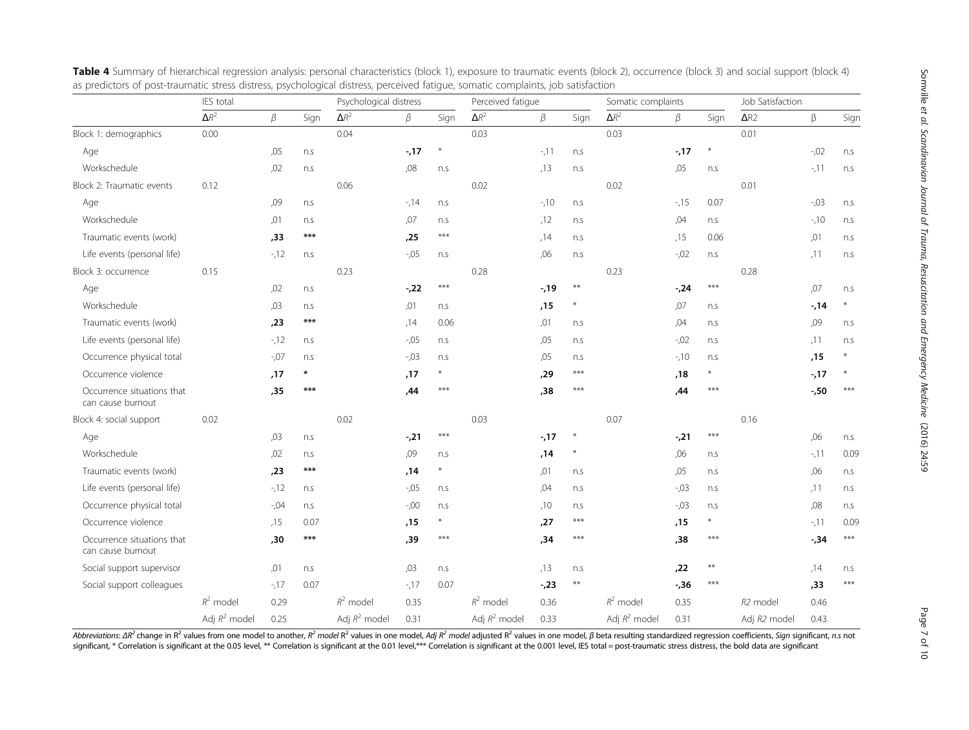|                                                 | IES total               |         | Psychological distress |                 |         | Perceived fatigue |                 |         | Somatic complaints |                 |         | Job Satisfaction |                         |         |                  |
|-------------------------------------------------|-------------------------|---------|------------------------|-----------------|---------|-------------------|-----------------|---------|--------------------|-----------------|---------|------------------|-------------------------|---------|------------------|
|                                                 | $\overline{\Delta R^2}$ | $\beta$ | Sign                   | $\Delta R^2$    | β       | Sign              | $\Delta R^2$    | $\beta$ | Sign               | $\Delta R^2$    | β       | Sign             | $\Delta$ R <sub>2</sub> | β       | Sign             |
| Block 1: demographics                           | 0.00                    |         |                        | 0.04            |         |                   | 0.03            |         |                    | 0.03            |         |                  | 0.01                    |         |                  |
| Age                                             |                         | ,05     | n.s                    |                 | $-17$   | $\divideontimes$  |                 | $-11$   | n.s                |                 | $-17$   | ∗                |                         | $-0.02$ | n.s              |
| Workschedule                                    |                         | ,02     | n.s                    |                 | ,08     | n.s               |                 | ,13     | n.s                |                 | ,05     | n.s              |                         | $-11$   | n.s              |
| Block 2: Traumatic events                       | 0.12                    |         |                        | 0.06            |         |                   | 0.02            |         |                    | 0.02            |         |                  | 0.01                    |         |                  |
| Age                                             |                         | ,09     | n.s                    |                 | $-14$   | n.s               |                 | $-10$   | n.s                |                 | $-15$   | 0.07             |                         | $-0.03$ | n.s              |
| Workschedule                                    |                         | .01     | n.s                    |                 | ,07     | n.s               |                 | ,12     | n.s                |                 | ,04     | n.s              |                         | $-10$   | n.s              |
| Traumatic events (work)                         |                         | ,33     | $***$                  |                 | ,25     | $***$             |                 | ,14     | n.s                |                 | ,15     | 0.06             |                         | ,01     | n.s              |
| Life events (personal life)                     |                         | $-12$   | n.s                    |                 | $-0.05$ | n.s               |                 | ,06     | n.s                |                 | $-0.02$ | n.s              |                         | ,11     | n.s              |
| Block 3: occurrence                             | 0.15                    |         |                        | 0.23            |         |                   | 0.28            |         |                    | 0.23            |         |                  | 0.28                    |         |                  |
| Age                                             |                         | ,02     | n.s                    |                 | $-22$   | $***$             |                 | $-19$   | $\star\star$       |                 | $-24$   | $***$            |                         | ,07     | n.s              |
| Workschedule                                    |                         | ,03     | n.s                    |                 | ,01     | n.s               |                 | ,15     | $\ast$             |                 | ,07     | n.s              |                         | $-14$   | $\divideontimes$ |
| Traumatic events (work)                         |                         | ,23     | ***                    |                 | ,14     | 0.06              |                 | ,01     | n.s                |                 | ,04     | n.s              |                         | ,09     | n.s              |
| Life events (personal life)                     |                         | $-12$   | n.s                    |                 | $-0.05$ | n.s               |                 | ,05     | n.s                |                 | $-0.02$ | n.s              |                         | ,11     | n.s              |
| Occurrence physical total                       |                         | $-0.07$ | n.S                    |                 | $-0.03$ | n.S               |                 | .05     | n.s                |                 | $-10$   | n.S              |                         | ,15     | $\ast$           |
| Occurrence violence                             |                         | ,17     | ∗                      |                 | ,17     | $\star$           |                 | ,29     | ***                |                 | ,18     | $\ast$           |                         | $-17$   |                  |
| Occurrence situations that<br>can cause burnout |                         | , 35    | ***                    |                 | 44,     | $***$             |                 | ,38     | $***$              |                 | ,44     | ***              |                         | $-0.50$ | ***              |
| Block 4: social support                         | 0.02                    |         |                        | 0.02            |         |                   | 0.03            |         |                    | 0.07            |         |                  | 0.16                    |         |                  |
| Age                                             |                         | ,03     | n.s                    |                 | $-21$   | $***$             |                 | $-17$   | $\ast$             |                 | $-21$   | $***$            |                         | ,06     | n.s              |
| Workschedule                                    |                         | ,02     | n.s                    |                 | ,09     | n.s               |                 | ,14     | $\ast$             |                 | ,06     | n.s              |                         | $-11$   | 0.09             |
| Traumatic events (work)                         |                         | ,23     | $***$                  |                 | 14,     | $\ast$            |                 | ,01     | n.s                |                 | ,05     | n.s              |                         | ,06     | n.s              |
| Life events (personal life)                     |                         | $-12$   | n.s                    |                 | $-0.05$ | n.s               |                 | ,04     | n.s                |                 | $-0.03$ | n.s              |                         | ,11     | n.s              |
| Occurrence physical total                       |                         | $-0.04$ | n.s                    |                 | $-0.00$ | n.s               |                 | ,10     | n.s                |                 | $-0.03$ | n.s              |                         | ,08     | n.s              |
| Occurrence violence                             |                         | ,15     | 0.07                   |                 | ,15     | $\ast$            |                 | ,27     | $***$              |                 | ,15     | ¥                |                         | $-11$   | 0.09             |
| Occurrence situations that<br>can cause burnout |                         | ,30     | ***                    |                 | ,39     | $***$             |                 | ,34     | $***$              |                 | , 38    | ***              |                         | $-34$   | $***$            |
| Social support supervisor                       |                         | ,01     | n.s                    |                 | ,03     | n.S               |                 | ,13     | n.s                |                 | ,22     | $**$             |                         | ,14     | n.s              |
| Social support colleagues                       |                         | $-17$   | 0.07                   |                 | $-17$   | 0.07              |                 | $-23$   | $\star\star$       |                 | $-1,36$ | ***              |                         | , 33    | ***              |
|                                                 | $R^2$ model             | 0.29    |                        | $R^2$ model     | 0.35    |                   | $R^2$ model     | 0.36    |                    | $R^2$ model     | 0.35    |                  | R <sub>2</sub> model    | 0.46    |                  |
|                                                 | Adj $R^2$ model         | 0.25    |                        | Adj $R^2$ model | 0.31    |                   | Adj $R^2$ model | 0.33    |                    | Adj $R^2$ model | 0.31    |                  | Adj R2 model            | 0.43    |                  |

<span id="page-6-0"></span>Table 4 Summary of hierarchical regression analysis: personal characteristics (block 1), exposure to traumatic events (block 2), occurrence (block 3) and social support (block 4) as predictors of post-traumatic stress distress, psychological distress, perceived fatigue, somatic complaints, job satisfaction

Abbreviations:  $\Delta R^2$  change in R<sup>2</sup> values from one model to another,  $R^2$  model R<sup>2</sup> values in one model, Adj R<sup>2</sup> model adjusted R<sup>2</sup> values in one model, B beta resulting standardized regression coefficients, Sign s significant, \* Correlation is significant at the 0.05 level, \*\* Correlation is significant at the 0.01 level, \*\*\* Correlation is significant at the 0.001 level, IES total = post-traumatic stress distress, the bold data are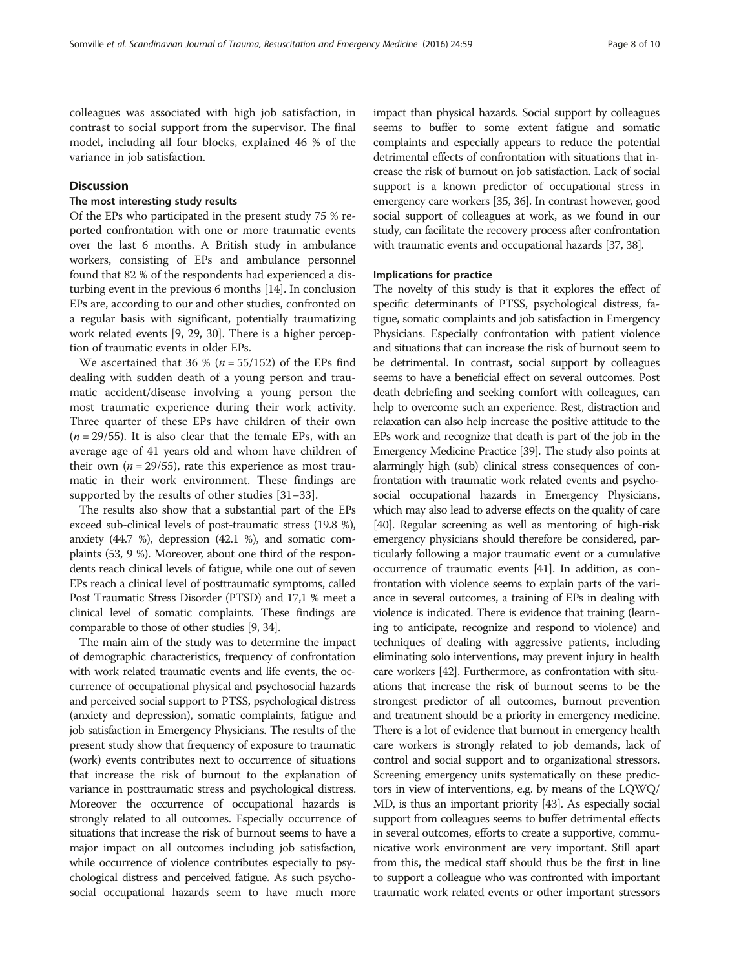colleagues was associated with high job satisfaction, in contrast to social support from the supervisor. The final model, including all four blocks, explained 46 % of the variance in job satisfaction.

## **Discussion**

## The most interesting study results

Of the EPs who participated in the present study 75 % reported confrontation with one or more traumatic events over the last 6 months. A British study in ambulance workers, consisting of EPs and ambulance personnel found that 82 % of the respondents had experienced a disturbing event in the previous 6 months [[14](#page-9-0)]. In conclusion EPs are, according to our and other studies, confronted on a regular basis with significant, potentially traumatizing work related events [[9, 29, 30](#page-9-0)]. There is a higher perception of traumatic events in older EPs.

We ascertained that 36 % ( $n = 55/152$ ) of the EPs find dealing with sudden death of a young person and traumatic accident/disease involving a young person the most traumatic experience during their work activity. Three quarter of these EPs have children of their own  $(n = 29/55)$ . It is also clear that the female EPs, with an average age of 41 years old and whom have children of their own ( $n = 29/55$ ), rate this experience as most traumatic in their work environment. These findings are supported by the results of other studies [[31](#page-9-0)–[33](#page-9-0)].

The results also show that a substantial part of the EPs exceed sub-clinical levels of post-traumatic stress (19.8 %), anxiety (44.7 %), depression (42.1 %), and somatic complaints (53, 9 %). Moreover, about one third of the respondents reach clinical levels of fatigue, while one out of seven EPs reach a clinical level of posttraumatic symptoms, called Post Traumatic Stress Disorder (PTSD) and 17,1 % meet a clinical level of somatic complaints. These findings are comparable to those of other studies [\[9, 34\]](#page-9-0).

The main aim of the study was to determine the impact of demographic characteristics, frequency of confrontation with work related traumatic events and life events, the occurrence of occupational physical and psychosocial hazards and perceived social support to PTSS, psychological distress (anxiety and depression), somatic complaints, fatigue and job satisfaction in Emergency Physicians. The results of the present study show that frequency of exposure to traumatic (work) events contributes next to occurrence of situations that increase the risk of burnout to the explanation of variance in posttraumatic stress and psychological distress. Moreover the occurrence of occupational hazards is strongly related to all outcomes. Especially occurrence of situations that increase the risk of burnout seems to have a major impact on all outcomes including job satisfaction, while occurrence of violence contributes especially to psychological distress and perceived fatigue. As such psychosocial occupational hazards seem to have much more impact than physical hazards. Social support by colleagues seems to buffer to some extent fatigue and somatic complaints and especially appears to reduce the potential detrimental effects of confrontation with situations that increase the risk of burnout on job satisfaction. Lack of social support is a known predictor of occupational stress in emergency care workers [\[35, 36\]](#page-9-0). In contrast however, good social support of colleagues at work, as we found in our study, can facilitate the recovery process after confrontation with traumatic events and occupational hazards [\[37, 38\]](#page-9-0).

### Implications for practice

The novelty of this study is that it explores the effect of specific determinants of PTSS, psychological distress, fatigue, somatic complaints and job satisfaction in Emergency Physicians. Especially confrontation with patient violence and situations that can increase the risk of burnout seem to be detrimental. In contrast, social support by colleagues seems to have a beneficial effect on several outcomes. Post death debriefing and seeking comfort with colleagues, can help to overcome such an experience. Rest, distraction and relaxation can also help increase the positive attitude to the EPs work and recognize that death is part of the job in the Emergency Medicine Practice [\[39](#page-9-0)]. The study also points at alarmingly high (sub) clinical stress consequences of confrontation with traumatic work related events and psychosocial occupational hazards in Emergency Physicians, which may also lead to adverse effects on the quality of care [[40](#page-9-0)]. Regular screening as well as mentoring of high-risk emergency physicians should therefore be considered, particularly following a major traumatic event or a cumulative occurrence of traumatic events [\[41\]](#page-9-0). In addition, as confrontation with violence seems to explain parts of the variance in several outcomes, a training of EPs in dealing with violence is indicated. There is evidence that training (learning to anticipate, recognize and respond to violence) and techniques of dealing with aggressive patients, including eliminating solo interventions, may prevent injury in health care workers [\[42](#page-9-0)]. Furthermore, as confrontation with situations that increase the risk of burnout seems to be the strongest predictor of all outcomes, burnout prevention and treatment should be a priority in emergency medicine. There is a lot of evidence that burnout in emergency health care workers is strongly related to job demands, lack of control and social support and to organizational stressors. Screening emergency units systematically on these predictors in view of interventions, e.g. by means of the LQWQ/ MD, is thus an important priority [\[43\]](#page-9-0). As especially social support from colleagues seems to buffer detrimental effects in several outcomes, efforts to create a supportive, communicative work environment are very important. Still apart from this, the medical staff should thus be the first in line to support a colleague who was confronted with important traumatic work related events or other important stressors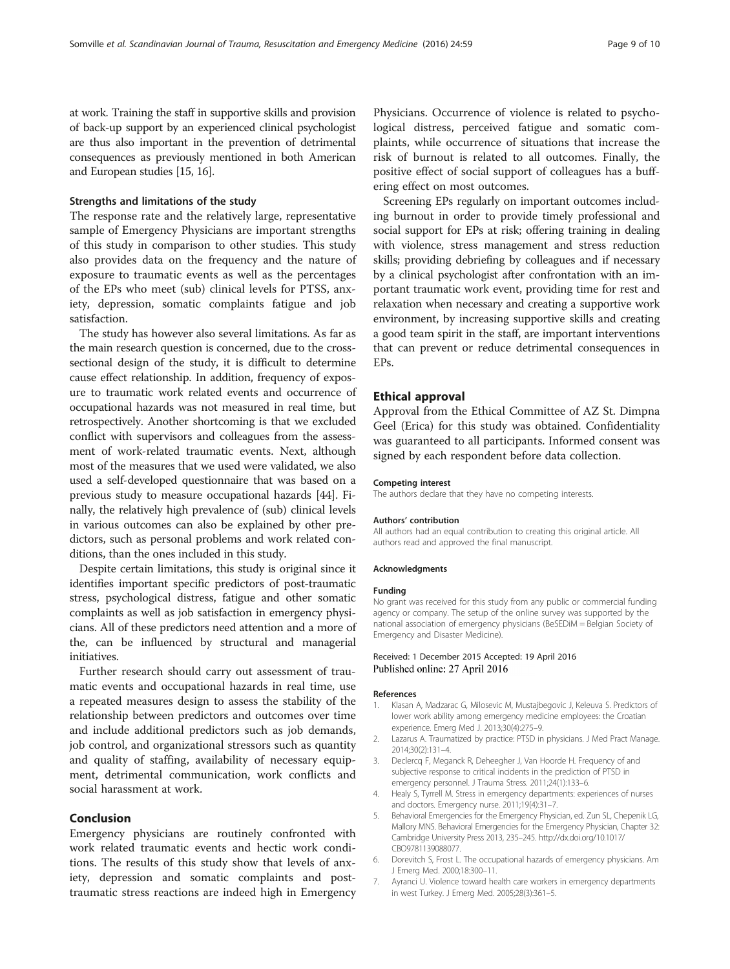<span id="page-8-0"></span>at work. Training the staff in supportive skills and provision of back-up support by an experienced clinical psychologist are thus also important in the prevention of detrimental consequences as previously mentioned in both American and European studies [15, 16].

## Strengths and limitations of the study

The response rate and the relatively large, representative sample of Emergency Physicians are important strengths of this study in comparison to other studies. This study also provides data on the frequency and the nature of exposure to traumatic events as well as the percentages of the EPs who meet (sub) clinical levels for PTSS, anxiety, depression, somatic complaints fatigue and job satisfaction.

The study has however also several limitations. As far as the main research question is concerned, due to the crosssectional design of the study, it is difficult to determine cause effect relationship. In addition, frequency of exposure to traumatic work related events and occurrence of occupational hazards was not measured in real time, but retrospectively. Another shortcoming is that we excluded conflict with supervisors and colleagues from the assessment of work-related traumatic events. Next, although most of the measures that we used were validated, we also used a self-developed questionnaire that was based on a previous study to measure occupational hazards [\[44\]](#page-9-0). Finally, the relatively high prevalence of (sub) clinical levels in various outcomes can also be explained by other predictors, such as personal problems and work related conditions, than the ones included in this study.

Despite certain limitations, this study is original since it identifies important specific predictors of post-traumatic stress, psychological distress, fatigue and other somatic complaints as well as job satisfaction in emergency physicians. All of these predictors need attention and a more of the, can be influenced by structural and managerial initiatives.

Further research should carry out assessment of traumatic events and occupational hazards in real time, use a repeated measures design to assess the stability of the relationship between predictors and outcomes over time and include additional predictors such as job demands, job control, and organizational stressors such as quantity and quality of staffing, availability of necessary equipment, detrimental communication, work conflicts and social harassment at work.

#### Conclusion

Emergency physicians are routinely confronted with work related traumatic events and hectic work conditions. The results of this study show that levels of anxiety, depression and somatic complaints and posttraumatic stress reactions are indeed high in Emergency

Physicians. Occurrence of violence is related to psychological distress, perceived fatigue and somatic complaints, while occurrence of situations that increase the risk of burnout is related to all outcomes. Finally, the positive effect of social support of colleagues has a buffering effect on most outcomes.

Screening EPs regularly on important outcomes including burnout in order to provide timely professional and social support for EPs at risk; offering training in dealing with violence, stress management and stress reduction skills; providing debriefing by colleagues and if necessary by a clinical psychologist after confrontation with an important traumatic work event, providing time for rest and relaxation when necessary and creating a supportive work environment, by increasing supportive skills and creating a good team spirit in the staff, are important interventions that can prevent or reduce detrimental consequences in EPs.

#### Ethical approval

Approval from the Ethical Committee of AZ St. Dimpna Geel (Erica) for this study was obtained. Confidentiality was guaranteed to all participants. Informed consent was signed by each respondent before data collection.

#### Competing interest

The authors declare that they have no competing interests.

#### Authors' contribution

All authors had an equal contribution to creating this original article. All authors read and approved the final manuscript.

#### Acknowledgments

#### Funding

No grant was received for this study from any public or commercial funding agency or company. The setup of the online survey was supported by the national association of emergency physicians (BeSEDiM = Belgian Society of Emergency and Disaster Medicine).

#### Received: 1 December 2015 Accepted: 19 April 2016 Published online: 27 April 2016

#### References

- 1. Klasan A, Madzarac G, Milosevic M, Mustajbegovic J, Keleuva S. Predictors of lower work ability among emergency medicine employees: the Croatian experience. Emerg Med J. 2013;30(4):275–9.
- 2. Lazarus A. Traumatized by practice: PTSD in physicians. J Med Pract Manage. 2014;30(2):131–4.
- 3. Declercq F, Meganck R, Deheegher J, Van Hoorde H. Frequency of and subjective response to critical incidents in the prediction of PTSD in emergency personnel. J Trauma Stress. 2011;24(1):133–6.
- 4. Healy S, Tyrrell M. Stress in emergency departments: experiences of nurses and doctors. Emergency nurse. 2011;19(4):31–7.
- 5. Behavioral Emergencies for the Emergency Physician, ed. Zun SL, Chepenik LG, Mallory MNS. Behavioral Emergencies for the Emergency Physician, Chapter 32: Cambridge University Press 2013, 235–245. [http://dx.doi.org/10.1017/](http://dx.doi.org/10.1017/CBO9781139088077) [CBO9781139088077](http://dx.doi.org/10.1017/CBO9781139088077).
- 6. Dorevitch S, Frost L. The occupational hazards of emergency physicians. Am J Emerg Med. 2000;18:300–11.
- 7. Ayranci U. Violence toward health care workers in emergency departments in west Turkey. J Emerg Med. 2005;28(3):361–5.